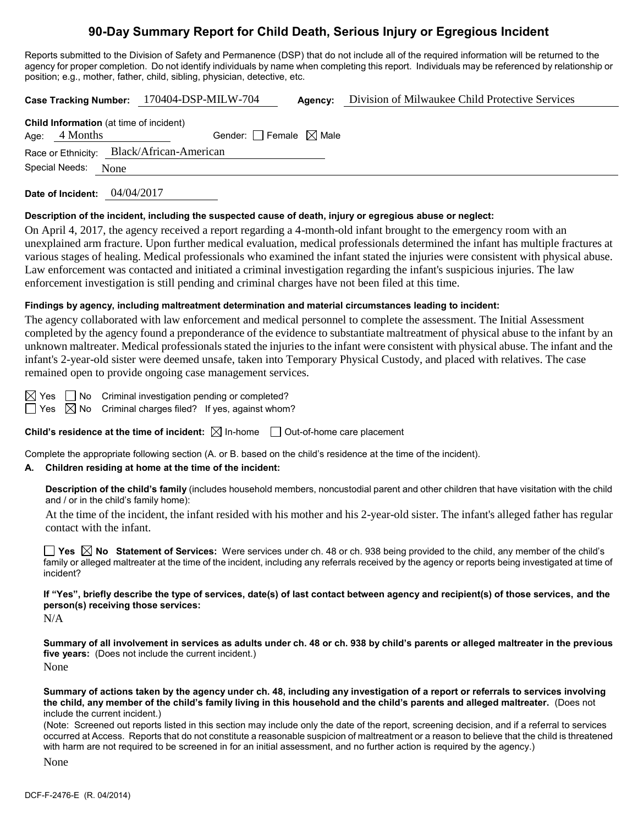## **90-Day Summary Report for Child Death, Serious Injury or Egregious Incident**

Reports submitted to the Division of Safety and Permanence (DSP) that do not include all of the required information will be returned to the agency for proper completion. Do not identify individuals by name when completing this report. Individuals may be referenced by relationship or position; e.g., mother, father, child, sibling, physician, detective, etc.

**Case Tracking Number:** 170404-DSP-MILW-704 **Agency:** Division of Milwaukee Child Protective Services **Child Information** (at time of incident)

| Child information (at three or incluent)  |                     |  |                                 |  |  |  |  |
|-------------------------------------------|---------------------|--|---------------------------------|--|--|--|--|
|                                           | Age: $4$ Months     |  | Gender: Female $\boxtimes$ Male |  |  |  |  |
| Race or Ethnicity: Black/African-American |                     |  |                                 |  |  |  |  |
|                                           | Special Needs: None |  |                                 |  |  |  |  |

**Date of Incident:** 04/04/2017

#### **Description of the incident, including the suspected cause of death, injury or egregious abuse or neglect:**

On April 4, 2017, the agency received a report regarding a 4-month-old infant brought to the emergency room with an unexplained arm fracture. Upon further medical evaluation, medical professionals determined the infant has multiple fractures at various stages of healing. Medical professionals who examined the infant stated the injuries were consistent with physical abuse. Law enforcement was contacted and initiated a criminal investigation regarding the infant's suspicious injuries. The law enforcement investigation is still pending and criminal charges have not been filed at this time.

#### **Findings by agency, including maltreatment determination and material circumstances leading to incident:**

The agency collaborated with law enforcement and medical personnel to complete the assessment. The Initial Assessment completed by the agency found a preponderance of the evidence to substantiate maltreatment of physical abuse to the infant by an unknown maltreater. Medical professionals stated the injuries to the infant were consistent with physical abuse. The infant and the infant's 2-year-old sister were deemed unsafe, taken into Temporary Physical Custody, and placed with relatives. The case remained open to provide ongoing case management services.

 $\boxtimes$  Yes  $\Box$  No Criminal investigation pending or completed?

 $\Box$  Yes  $\boxtimes$  No Criminal charges filed? If yes, against whom?

**Child's residence at the time of incident:**  $\boxtimes$  In-home  $\Box$  Out-of-home care placement

Complete the appropriate following section (A. or B. based on the child's residence at the time of the incident).

## **A. Children residing at home at the time of the incident:**

**Description of the child's family** (includes household members, noncustodial parent and other children that have visitation with the child and / or in the child's family home):

At the time of the incident, the infant resided with his mother and his 2-year-old sister. The infant's alleged father has regular contact with the infant.

**Yes**  $\boxtimes$  **No** Statement of Services: Were services under ch. 48 or ch. 938 being provided to the child, any member of the child's family or alleged maltreater at the time of the incident, including any referrals received by the agency or reports being investigated at time of incident?

**If "Yes", briefly describe the type of services, date(s) of last contact between agency and recipient(s) of those services, and the person(s) receiving those services:**

N/A

**Summary of all involvement in services as adults under ch. 48 or ch. 938 by child's parents or alleged maltreater in the previous five years:** (Does not include the current incident.) None

**Summary of actions taken by the agency under ch. 48, including any investigation of a report or referrals to services involving the child, any member of the child's family living in this household and the child's parents and alleged maltreater.** (Does not include the current incident.)

(Note: Screened out reports listed in this section may include only the date of the report, screening decision, and if a referral to services occurred at Access. Reports that do not constitute a reasonable suspicion of maltreatment or a reason to believe that the child is threatened with harm are not required to be screened in for an initial assessment, and no further action is required by the agency.)

None